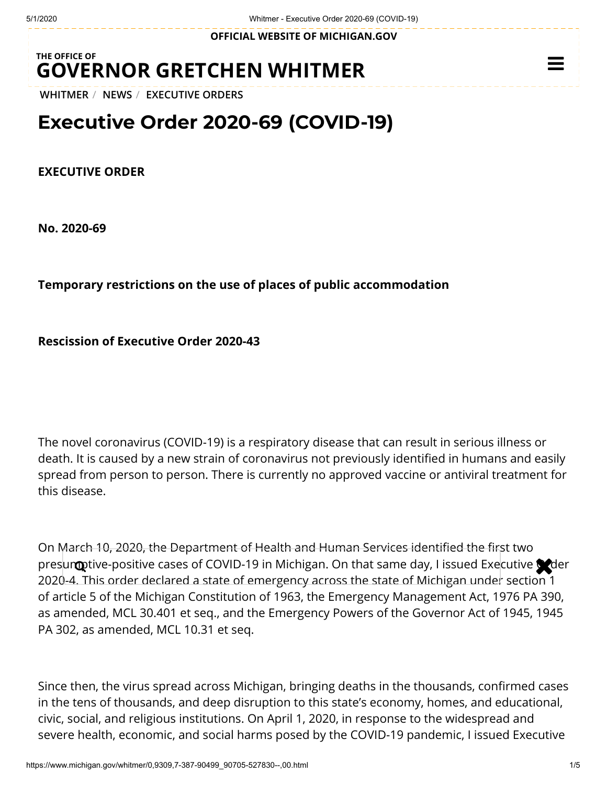**OFFICIAL WEBSITE OF [MICHIGAN.GOV](https://www.michigan.gov/)**

## **THE OFFICE OF GOVERNOR [GRETCHEN WHITMER](https://www.michigan.gov/whitmer/)**

**[WHITMER](https://www.michigan.gov/whitmer/)** / **[NEWS](https://www.michigan.gov/whitmer/0,9309,7-387-90499---,00.html)** / **[EXECUTIVE ORDERS](https://www.michigan.gov/whitmer/0,9309,7-387-90499_90705---,00.html)**

# **Executive Order 2020-69 (COVID-19)**

#### **EXECUTIVE ORDER**

**No. 2020-69**

### **Temporary restrictions on the use of places of public accommodation**

**Rescission of Executive Order 2020-43**

The novel coronavirus (COVID-19) is a respiratory disease that can result in serious illness or death. It is caused by a new strain of coronavirus not previously identified in humans and easily spread from person to person. There is currently no approved vaccine or antiviral treatment for this disease.

On March 10, 2020, the Department of Health and Human Services identified the first two presumptive-positive cases of COVID-19 in Michigan. On that same day, I issued Executive order 2020-4. This order declared a state of emergency across the state of Michigan under section 1 of article 5 of the Michigan Constitution of 1963, the Emergency Management Act, 1976 PA 390, as amended, MCL 30.401 et seq., and the Emergency Powers of the Governor Act of 1945, 1945 PA 302, as amended, MCL 10.31 et seq.

Since then, the virus spread across Michigan, bringing deaths in the thousands, confirmed cases in the tens of thousands, and deep disruption to this state's economy, homes, and educational, civic, social, and religious institutions. On April 1, 2020, in response to the widespread and severe health, economic, and social harms posed by the COVID-19 pandemic, I issued Executive

 $\equiv$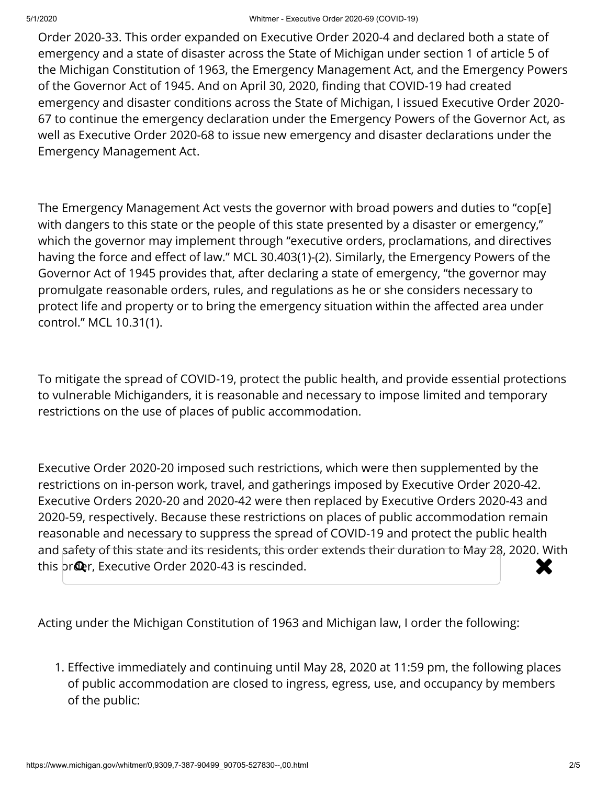Order 2020-33. This order expanded on Executive Order 2020-4 and declared both a state of emergency and a state of disaster across the State of Michigan under section 1 of article 5 of the Michigan Constitution of 1963, the Emergency Management Act, and the Emergency Powers of the Governor Act of 1945. And on April 30, 2020, finding that COVID-19 had created emergency and disaster conditions across the State of Michigan, I issued Executive Order 2020- 67 to continue the emergency declaration under the Emergency Powers of the Governor Act, as well as Executive Order 2020-68 to issue new emergency and disaster declarations under the Emergency Management Act.

The Emergency Management Act vests the governor with broad powers and duties to "cop[e] with dangers to this state or the people of this state presented by a disaster or emergency," which the governor may implement through "executive orders, proclamations, and directives having the force and effect of law." MCL 30.403(1)-(2). Similarly, the Emergency Powers of the Governor Act of 1945 provides that, after declaring a state of emergency, "the governor may promulgate reasonable orders, rules, and regulations as he or she considers necessary to protect life and property or to bring the emergency situation within the affected area under control." MCL 10.31(1).

To mitigate the spread of COVID-19, protect the public health, and provide essential protections to vulnerable Michiganders, it is reasonable and necessary to impose limited and temporary restrictions on the use of places of public accommodation.

Executive Order 2020-20 imposed such restrictions, which were then supplemented by the restrictions on in-person work, travel, and gatherings imposed by Executive Order 2020-42. Executive Orders 2020-20 and 2020-42 were then replaced by Executive Orders 2020-43 and 2020-59, respectively. Because these restrictions on places of public accommodation remain reasonable and necessary to suppress the spread of COVID-19 and protect the public health and safety of this state and its residents, this order extends their duration to May 28, 2020. With this order, Executive Order 2020-43 is rescinded.

Acting under the Michigan Constitution of 1963 and Michigan law, I order the following:

1. Effective immediately and continuing until May 28, 2020 at 11:59 pm, the following places of public accommodation are closed to ingress, egress, use, and occupancy by members of the public: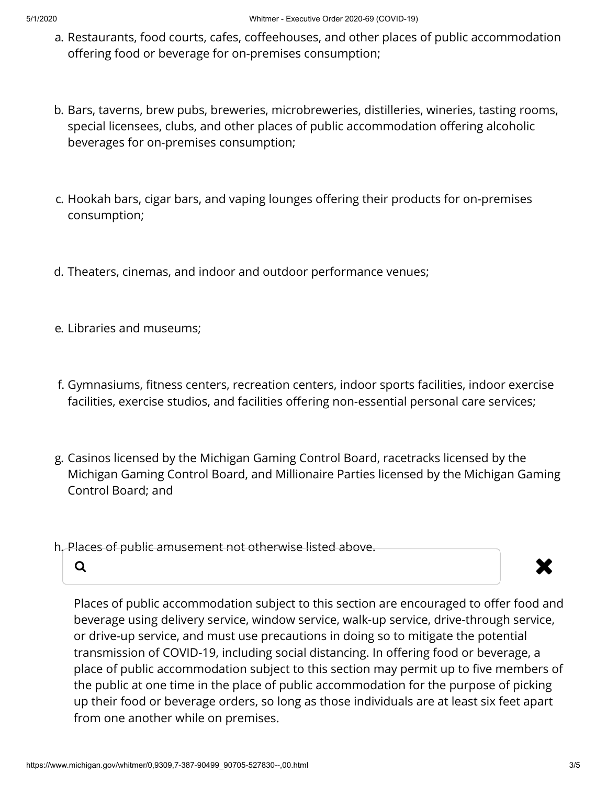- a. Restaurants, food courts, cafes, coffeehouses, and other places of public accommodation offering food or beverage for on-premises consumption;
- b. Bars, taverns, brew pubs, breweries, microbreweries, distilleries, wineries, tasting rooms, special licensees, clubs, and other places of public accommodation offering alcoholic beverages for on-premises consumption;
- c. Hookah bars, cigar bars, and vaping lounges offering their products for on-premises consumption;
- d. Theaters, cinemas, and indoor and outdoor performance venues;
- e. Libraries and museums;
- f. Gymnasiums, fitness centers, recreation centers, indoor sports facilities, indoor exercise facilities, exercise studios, and facilities offering non-essential personal care services;
- g. Casinos licensed by the Michigan Gaming Control Board, racetracks licensed by the Michigan Gaming Control Board, and Millionaire Parties licensed by the Michigan Gaming Control Board; and
- h. Places of public amusement not otherwise listed above.



Places of public accommodation subject to this section are encouraged to offer food and beverage using delivery service, window service, walk-up service, drive-through service, or drive-up service, and must use precautions in doing so to mitigate the potential transmission of COVID-19, including social distancing. In offering food or beverage, a place of public accommodation subject to this section may permit up to five members of the public at one time in the place of public accommodation for the purpose of picking up their food or beverage orders, so long as those individuals are at least six feet apart from one another while on premises.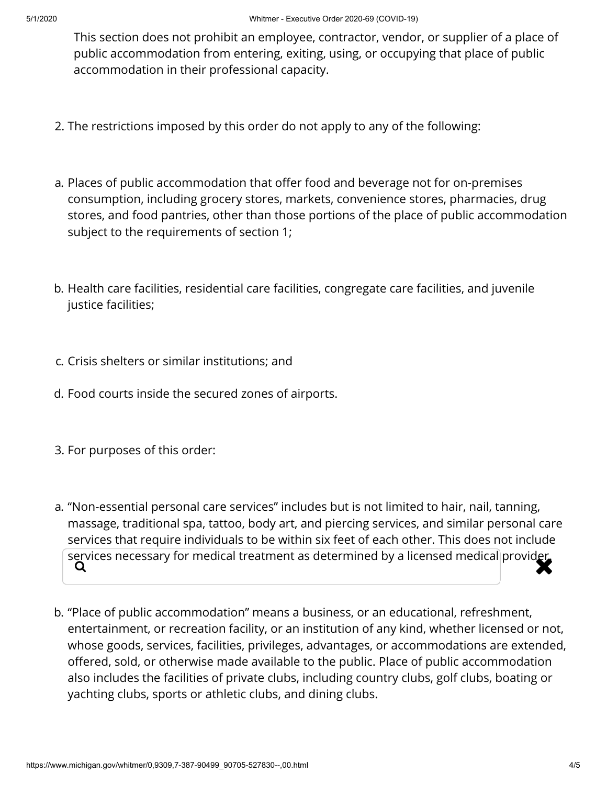This section does not prohibit an employee, contractor, vendor, or supplier of a place of public accommodation from entering, exiting, using, or occupying that place of public accommodation in their professional capacity.

- 2. The restrictions imposed by this order do not apply to any of the following:
- a. Places of public accommodation that offer food and beverage not for on-premises consumption, including grocery stores, markets, convenience stores, pharmacies, drug stores, and food pantries, other than those portions of the place of public accommodation subject to the requirements of section 1;
- b. Health care facilities, residential care facilities, congregate care facilities, and juvenile justice facilities;
- c. Crisis shelters or similar institutions; and
- d. Food courts inside the secured zones of airports.
- 3. For purposes of this order:
- a. "Non-essential personal care services" includes but is not limited to hair, nail, tanning, massage, traditional spa, tattoo, body art, and piercing services, and similar personal care services that require individuals to be within six feet of each other. This does not include services necessary for medical treatment as determined by a licensed medical provider.<br> $\overline{\mathsf{Q}}$
- b. "Place of public accommodation" means a business, or an educational, refreshment, entertainment, or recreation facility, or an institution of any kind, whether licensed or not, whose goods, services, facilities, privileges, advantages, or accommodations are extended, offered, sold, or otherwise made available to the public. Place of public accommodation also includes the facilities of private clubs, including country clubs, golf clubs, boating or yachting clubs, sports or athletic clubs, and dining clubs.